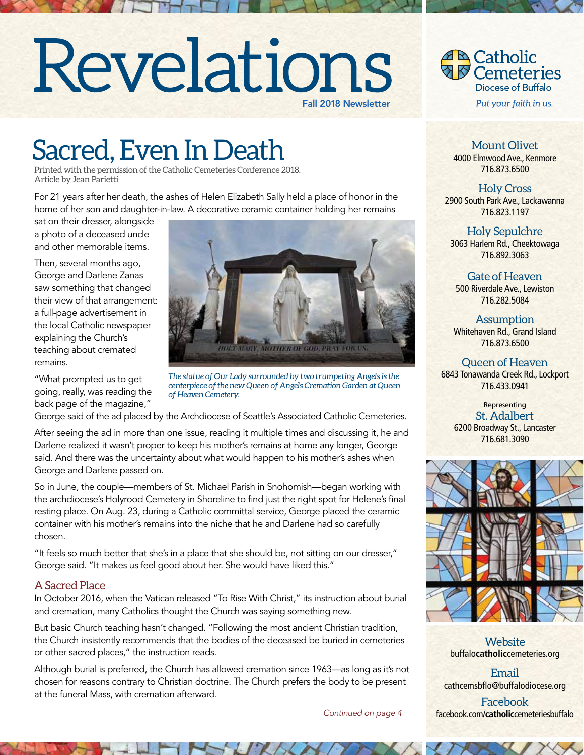# Revelations Fall 2018 Newsletter



# Sacred, Even In Death

Printed with the permission of the Catholic Cemeteries Conference 2018. Article by Jean Parietti

For 21 years after her death, the ashes of Helen Elizabeth Sally held a place of honor in the home of her son and daughter-in-law. A decorative ceramic container holding her remains

sat on their dresser, alongside a photo of a deceased uncle and other memorable items.

Then, several months ago, George and Darlene Zanas saw something that changed their view of that arrangement: a full-page advertisement in the local Catholic newspaper explaining the Church's teaching about cremated remains.

"What prompted us to get going, really, was reading the back page of the magazine,"



*The statue of Our Lady surrounded by two trumpeting Angels is the centerpiece of the new Queen of Angels Cremation Garden at Queen of Heaven Cemetery.*

George said of the ad placed by the Archdiocese of Seattle's Associated Catholic Cemeteries.

After seeing the ad in more than one issue, reading it multiple times and discussing it, he and Darlene realized it wasn't proper to keep his mother's remains at home any longer, George said. And there was the uncertainty about what would happen to his mother's ashes when George and Darlene passed on.

So in June, the couple—members of St. Michael Parish in Snohomish—began working with the archdiocese's Holyrood Cemetery in Shoreline to find just the right spot for Helene's final resting place. On Aug. 23, during a Catholic committal service, George placed the ceramic container with his mother's remains into the niche that he and Darlene had so carefully chosen.

"It feels so much better that she's in a place that she should be, not sitting on our dresser," George said. "It makes us feel good about her. She would have liked this."

### A Sacred Place

In October 2016, when the Vatican released "To Rise With Christ," its instruction about burial and cremation, many Catholics thought the Church was saying something new.

But basic Church teaching hasn't changed. "Following the most ancient Christian tradition, the Church insistently recommends that the bodies of the deceased be buried in cemeteries or other sacred places," the instruction reads.

Although burial is preferred, the Church has allowed cremation since 1963—as long as it's not chosen for reasons contrary to Christian doctrine. The Church prefers the body to be present at the funeral Mass, with cremation afterward.

*Continued on page 4*

Mount Olivet 4000 Elmwood Ave., Kenmore 716.873.6500

Holy Cross 2900 South Park Ave., Lackawanna 716.823.1197

Holy Sepulchre 3063 Harlem Rd., Cheektowaga 716.892.3063

Gate of Heaven 500 Riverdale Ave., Lewiston 716.282.5084

**Assumption** Whitehaven Rd., Grand Island 716.873.6500

Queen of Heaven 6843 Tonawanda Creek Rd., Lockport 716.433.0941

Representing St. Adalbert 6200 Broadway St., Lancaster 716.681.3090



**Website** buffalo**catholic**cemeteries.org

Email cathcemsbflo@buffalodiocese.org

Facebook facebook.com/**catholic**cemeteriesbuffalo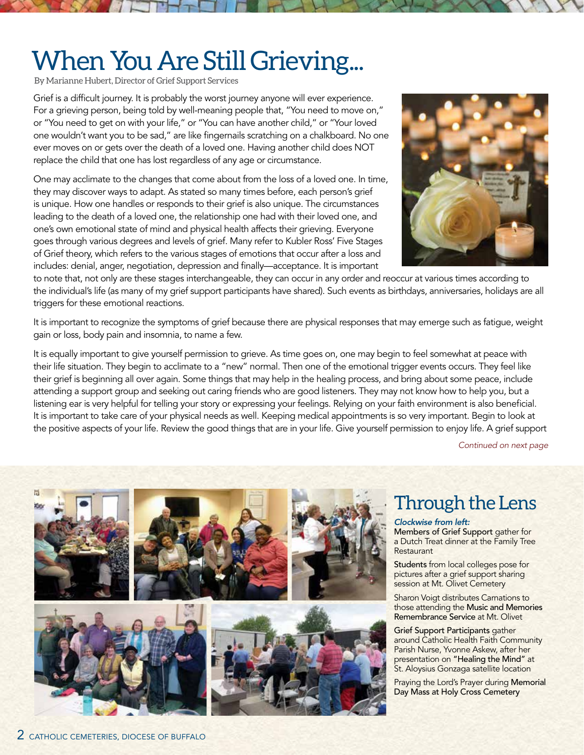# When You Are Still Grieving...

By Marianne Hubert, Director of Grief Support Services

Grief is a difficult journey. It is probably the worst journey anyone will ever experience. For a grieving person, being told by well-meaning people that, "You need to move on," or "You need to get on with your life," or "You can have another child," or "Your loved one wouldn't want you to be sad," are like fingernails scratching on a chalkboard. No one ever moves on or gets over the death of a loved one. Having another child does NOT replace the child that one has lost regardless of any age or circumstance.

One may acclimate to the changes that come about from the loss of a loved one. In time, they may discover ways to adapt. As stated so many times before, each person's grief is unique. How one handles or responds to their grief is also unique. The circumstances leading to the death of a loved one, the relationship one had with their loved one, and one's own emotional state of mind and physical health affects their grieving. Everyone goes through various degrees and levels of grief. Many refer to Kubler Ross' Five Stages of Grief theory, which refers to the various stages of emotions that occur after a loss and includes: denial, anger, negotiation, depression and finally—acceptance. It is important



to note that, not only are these stages interchangeable, they can occur in any order and reoccur at various times according to the individual's life (as many of my grief support participants have shared). Such events as birthdays, anniversaries, holidays are all triggers for these emotional reactions.

It is important to recognize the symptoms of grief because there are physical responses that may emerge such as fatigue, weight gain or loss, body pain and insomnia, to name a few.

It is equally important to give yourself permission to grieve. As time goes on, one may begin to feel somewhat at peace with their life situation. They begin to acclimate to a "new" normal. Then one of the emotional trigger events occurs. They feel like their grief is beginning all over again. Some things that may help in the healing process, and bring about some peace, include attending a support group and seeking out caring friends who are good listeners. They may not know how to help you, but a listening ear is very helpful for telling your story or expressing your feelings. Relying on your faith environment is also beneficial. It is important to take care of your physical needs as well. Keeping medical appointments is so very important. Begin to look at the positive aspects of your life. Review the good things that are in your life. Give yourself permission to enjoy life. A grief support

*Continued on next page*

![](_page_1_Picture_9.jpeg)

### Through the Lens

#### *Clockwise from left:*

Members of Grief Support gather for a Dutch Treat dinner at the Family Tree **Restaurant** 

Students from local colleges pose for pictures after a grief support sharing session at Mt. Olivet Cemetery

Sharon Voigt distributes Carnations to those attending the Music and Memories Remembrance Service at Mt. Olivet

Grief Support Participants gather around Catholic Health Faith Community Parish Nurse, Yvonne Askew, after her presentation on "Healing the Mind" at St. Aloysius Gonzaga satellite location

Praying the Lord's Prayer during Memorial Day Mass at Holy Cross Cemetery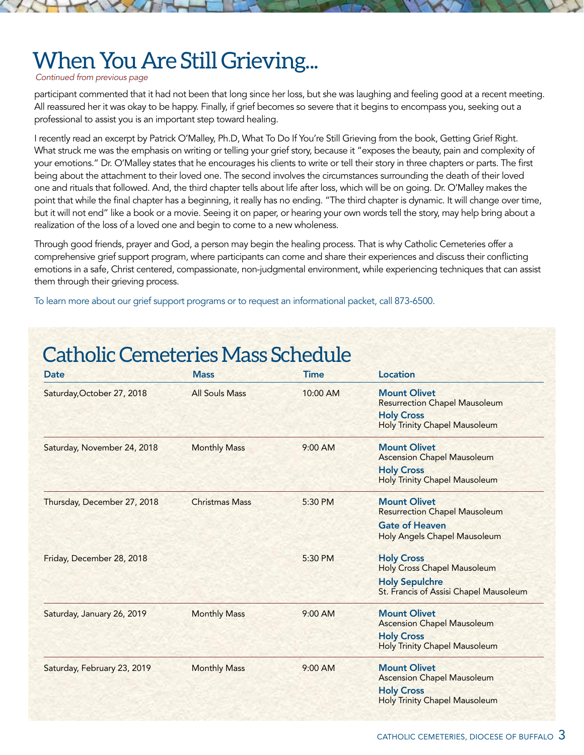## When You Are Still Grieving...

#### *Continued from previous page*

participant commented that it had not been that long since her loss, but she was laughing and feeling good at a recent meeting. All reassured her it was okay to be happy. Finally, if grief becomes so severe that it begins to encompass you, seeking out a professional to assist you is an important step toward healing.

I recently read an excerpt by Patrick O'Malley, Ph.D, What To Do If You're Still Grieving from the book, Getting Grief Right. What struck me was the emphasis on writing or telling your grief story, because it "exposes the beauty, pain and complexity of your emotions." Dr. O'Malley states that he encourages his clients to write or tell their story in three chapters or parts. The first being about the attachment to their loved one. The second involves the circumstances surrounding the death of their loved one and rituals that followed. And, the third chapter tells about life after loss, which will be on going. Dr. O'Malley makes the point that while the final chapter has a beginning, it really has no ending. "The third chapter is dynamic. It will change over time, but it will not end" like a book or a movie. Seeing it on paper, or hearing your own words tell the story, may help bring about a realization of the loss of a loved one and begin to come to a new wholeness.

Through good friends, prayer and God, a person may begin the healing process. That is why Catholic Cemeteries offer a comprehensive grief support program, where participants can come and share their experiences and discuss their conflicting emotions in a safe, Christ centered, compassionate, non-judgmental environment, while experiencing techniques that can assist them through their grieving process.

To learn more about our grief support programs or to request an informational packet, call 873-6500.

### Catholic Cemeteries Mass Schedule

| <b>Date</b>                 | <b>Mass</b>           | <b>Time</b> | Location                                                                                                                 |
|-----------------------------|-----------------------|-------------|--------------------------------------------------------------------------------------------------------------------------|
| Saturday, October 27, 2018  | <b>All Souls Mass</b> | 10:00 AM    | <b>Mount Olivet</b><br><b>Resurrection Chapel Mausoleum</b><br><b>Holy Cross</b><br><b>Holy Trinity Chapel Mausoleum</b> |
| Saturday, November 24, 2018 | <b>Monthly Mass</b>   | $9:00$ AM   | <b>Mount Olivet</b><br><b>Ascension Chapel Mausoleum</b><br><b>Holy Cross</b><br>Holy Trinity Chapel Mausoleum           |
| Thursday, December 27, 2018 | <b>Christmas Mass</b> | 5:30 PM     | <b>Mount Olivet</b><br><b>Resurrection Chapel Mausoleum</b>                                                              |
|                             |                       |             | <b>Gate of Heaven</b><br>Holy Angels Chapel Mausoleum                                                                    |
| Friday, December 28, 2018   |                       | 5:30 PM     | <b>Holy Cross</b><br>Holy Cross Chapel Mausoleum                                                                         |
|                             |                       |             | <b>Holy Sepulchre</b><br>St. Francis of Assisi Chapel Mausoleum                                                          |
| Saturday, January 26, 2019  | <b>Monthly Mass</b>   | $9:00$ AM   | <b>Mount Olivet</b><br><b>Ascension Chapel Mausoleum</b>                                                                 |
|                             |                       |             | <b>Holy Cross</b><br><b>Holy Trinity Chapel Mausoleum</b>                                                                |
| Saturday, February 23, 2019 | <b>Monthly Mass</b>   | $9:00$ AM   | <b>Mount Olivet</b><br><b>Ascension Chapel Mausoleum</b>                                                                 |
|                             |                       |             | <b>Holy Cross</b><br><b>Holy Trinity Chapel Mausoleum</b>                                                                |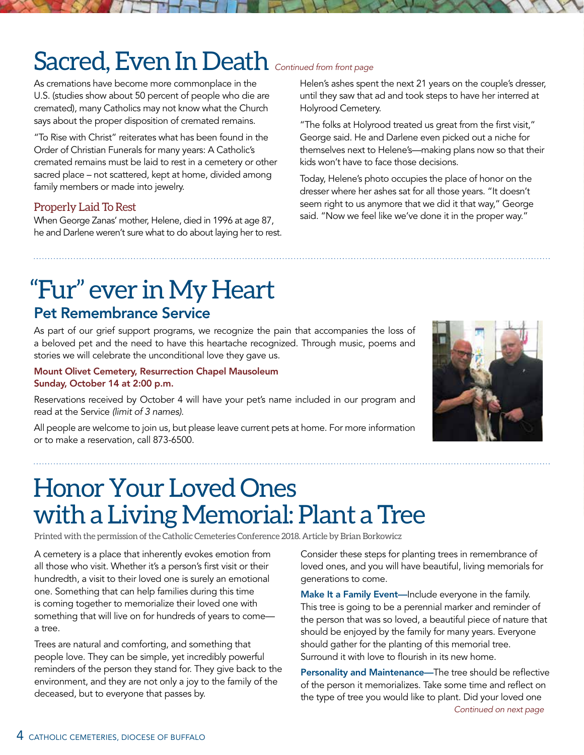# Sacred, Even In Death **Continued from front page**

As cremations have become more commonplace in the U.S. (studies show about 50 percent of people who die are cremated), many Catholics may not know what the Church says about the proper disposition of cremated remains.

"To Rise with Christ" reiterates what has been found in the Order of Christian Funerals for many years: A Catholic's cremated remains must be laid to rest in a cemetery or other sacred place – not scattered, kept at home, divided among family members or made into jewelry.

### Properly Laid To Rest

When George Zanas' mother, Helene, died in 1996 at age 87, he and Darlene weren't sure what to do about laying her to rest. Helen's ashes spent the next 21 years on the couple's dresser, until they saw that ad and took steps to have her interred at Holyrood Cemetery.

"The folks at Holyrood treated us great from the first visit," George said. He and Darlene even picked out a niche for themselves next to Helene's—making plans now so that their kids won't have to face those decisions.

Today, Helene's photo occupies the place of honor on the dresser where her ashes sat for all those years. "It doesn't seem right to us anymore that we did it that way," George said. "Now we feel like we've done it in the proper way."

# "Fur" ever in My Heart

### Pet Remembrance Service

As part of our grief support programs, we recognize the pain that accompanies the loss of a beloved pet and the need to have this heartache recognized. Through music, poems and stories we will celebrate the unconditional love they gave us.

#### Mount Olivet Cemetery, Resurrection Chapel Mausoleum Sunday, October 14 at 2:00 p.m.

Reservations received by October 4 will have your pet's name included in our program and read at the Service *(limit of 3 names)*.

All people are welcome to join us, but please leave current pets at home. For more information or to make a reservation, call 873-6500.

# Honor Your Loved Ones with a Living Memorial: Plant a Tree

Printed with the permission of the Catholic Cemeteries Conference 2018. Article by Brian Borkowicz

A cemetery is a place that inherently evokes emotion from all those who visit. Whether it's a person's first visit or their hundredth, a visit to their loved one is surely an emotional one. Something that can help families during this time is coming together to memorialize their loved one with something that will live on for hundreds of years to come a tree.

Trees are natural and comforting, and something that people love. They can be simple, yet incredibly powerful reminders of the person they stand for. They give back to the environment, and they are not only a joy to the family of the deceased, but to everyone that passes by.

Consider these steps for planting trees in remembrance of loved ones, and you will have beautiful, living memorials for generations to come.

Make It a Family Event—Include everyone in the family. This tree is going to be a perennial marker and reminder of the person that was so loved, a beautiful piece of nature that should be enjoyed by the family for many years. Everyone should gather for the planting of this memorial tree. Surround it with love to flourish in its new home.

*Continued on next page* Personality and Maintenance—The tree should be reflective of the person it memorializes. Take some time and reflect on the type of tree you would like to plant. Did your loved one

![](_page_3_Picture_21.jpeg)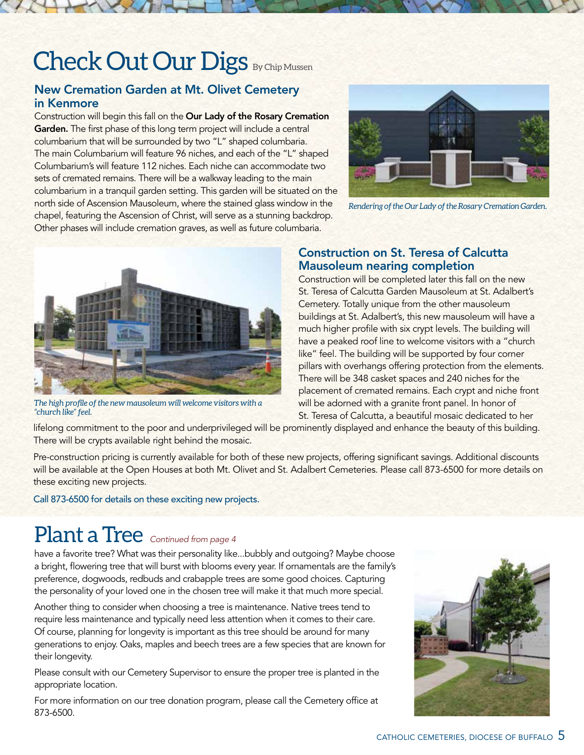# Check Out Our Digs By Chip Mussen

### New Cremation Garden at Mt. Olivet Cemetery in Kenmore

Construction will begin this fall on the Our Lady of the Rosary Cremation Garden. The first phase of this long term project will include a central columbarium that will be surrounded by two "L" shaped columbaria. The main Columbarium will feature 96 niches, and each of the "L" shaped Columbarium's will feature 112 niches. Each niche can accommodate two sets of cremated remains. There will be a walkway leading to the main columbarium in a tranquil garden setting. This garden will be situated on the north side of Ascension Mausoleum, where the stained glass window in the chapel, featuring the Ascension of Christ, will serve as a stunning backdrop. Other phases will include cremation graves, as well as future columbaria.

![](_page_4_Picture_3.jpeg)

*Rendering of the Our Lady of the Rosary Cremation Garden.*

![](_page_4_Picture_5.jpeg)

*The high profile of the new mausoleum will welcome visitors with a "church like" feel.*

### Construction on St. Teresa of Calcutta Mausoleum nearing completion

Construction will be completed later this fall on the new St. Teresa of Calcutta Garden Mausoleum at St. Adalbert's Cemetery. Totally unique from the other mausoleum buildings at St. Adalbert's, this new mausoleum will have a much higher profile with six crypt levels. The building will have a peaked roof line to welcome visitors with a "church like" feel. The building will be supported by four corner pillars with overhangs offering protection from the elements. There will be 348 casket spaces and 240 niches for the placement of cremated remains. Each crypt and niche front will be adorned with a granite front panel. In honor of St. Teresa of Calcutta, a beautiful mosaic dedicated to her

lifelong commitment to the poor and underprivileged will be prominently displayed and enhance the beauty of this building. There will be crypts available right behind the mosaic.

Pre-construction pricing is currently available for both of these new projects, offering significant savings. Additional discounts will be available at the Open Houses at both Mt. Olivet and St. Adalbert Cemeteries. Please call 873-6500 for more details on these exciting new projects.

Call 873-6500 for details on these exciting new projects.

### Plant a Tree *Continued from page 4*

have a favorite tree? What was their personality like...bubbly and outgoing? Maybe choose a bright, flowering tree that will burst with blooms every year. If ornamentals are the family's preference, dogwoods, redbuds and crabapple trees are some good choices. Capturing the personality of your loved one in the chosen tree will make it that much more special.

Another thing to consider when choosing a tree is maintenance. Native trees tend to require less maintenance and typically need less attention when it comes to their care. Of course, planning for longevity is important as this tree should be around for many generations to enjoy. Oaks, maples and beech trees are a few species that are known for their longevity.

Please consult with our Cemetery Supervisor to ensure the proper tree is planted in the appropriate location.

For more information on our tree donation program, please call the Cemetery office at 873-6500.

![](_page_4_Picture_17.jpeg)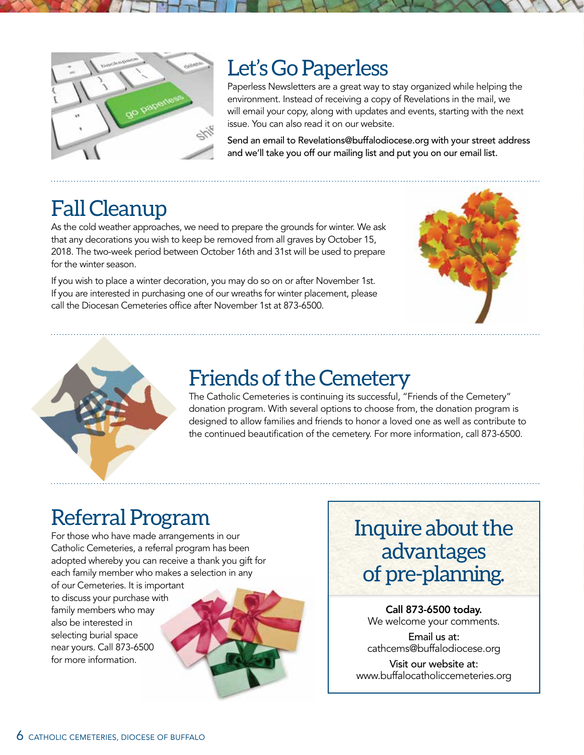![](_page_5_Figure_0.jpeg)

### Let's Go Paperless

Paperless Newsletters are a great way to stay organized while helping the environment. Instead of receiving a copy of Revelations in the mail, we will email your copy, along with updates and events, starting with the next issue. You can also read it on our website.

Send an email to Revelations@buffalodiocese.org with your street address and we'll take you off our mailing list and put you on our email list.

### Fall Cleanup

As the cold weather approaches, we need to prepare the grounds for winter. We ask that any decorations you wish to keep be removed from all graves by October 15, 2018. The two-week period between October 16th and 31st will be used to prepare for the winter season.

If you wish to place a winter decoration, you may do so on or after November 1st. If you are interested in purchasing one of our wreaths for winter placement, please call the Diocesan Cemeteries office after November 1st at 873-6500.

![](_page_5_Picture_7.jpeg)

![](_page_5_Picture_8.jpeg)

### Friends of the Cemetery

The Catholic Cemeteries is continuing its successful, "Friends of the Cemetery" donation program. With several options to choose from, the donation program is designed to allow families and friends to honor a loved one as well as contribute to the continued beautification of the cemetery. For more information, call 873-6500.

## Referral Program

For those who have made arrangements in our Catholic Cemeteries, a referral program has been adopted whereby you can receive a thank you gift for each family member who makes a selection in any

of our Cemeteries. It is important to discuss your purchase with family members who may also be interested in selecting burial space near yours. Call 873-6500 for more information.

![](_page_5_Picture_14.jpeg)

### Inquire about the advantages of pre-planning.

Call 873-6500 today. We welcome your comments.

Email us at: cathcems@buffalodiocese.org

Visit our website at: www.buffalocatholiccemeteries.org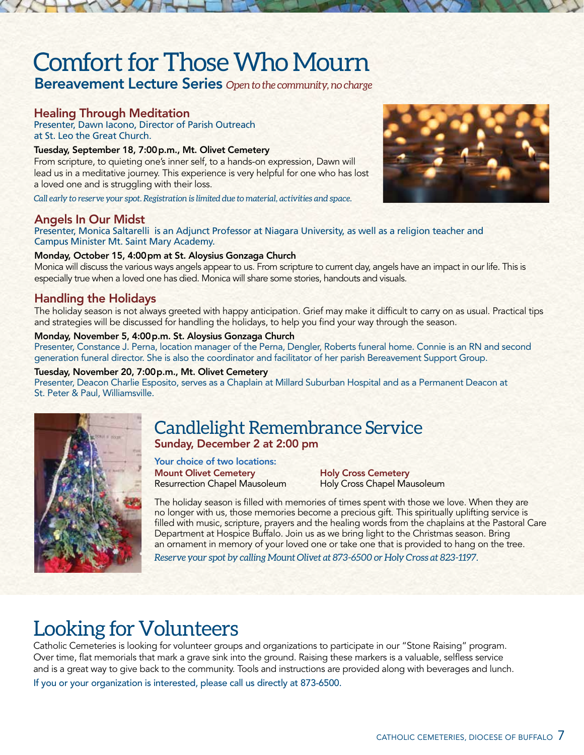# Comfort for Those Who Mourn

Bereavement Lecture Series *Open to the community, no charge*

### Healing Through Meditation

Presenter, Dawn Iacono, Director of Parish Outreach at St. Leo the Great Church.

#### Tuesday, September 18, 7:00p.m., Mt. Olivet Cemetery

From scripture, to quieting one's inner self, to a hands-on expression, Dawn will lead us in a meditative journey. This experience is very helpful for one who has lost a loved one and is struggling with their loss.

*Call early to reserve your spot. Registration is limited due to material, activities and space.*

#### Angels In Our Midst

![](_page_6_Picture_8.jpeg)

#### Presenter, Monica Saltarelli is an Adjunct Professor at Niagara University, as well as a religion teacher and Campus Minister Mt. Saint Mary Academy.

#### Monday, October 15, 4:00pm at St. Aloysius Gonzaga Church

Monica will discuss the various ways angels appear to us. From scripture to current day, angels have an impact in our life. This is especially true when a loved one has died. Monica will share some stories, handouts and visuals.

### Handling the Holidays

The holiday season is not always greeted with happy anticipation. Grief may make it difficult to carry on as usual. Practical tips and strategies will be discussed for handling the holidays, to help you find your way through the season.

#### Monday, November 5, 4:00p.m. St. Aloysius Gonzaga Church

Presenter, Constance J. Perna, location manager of the Perna, Dengler, Roberts funeral home. Connie is an RN and second generation funeral director. She is also the coordinator and facilitator of her parish Bereavement Support Group.

#### Tuesday, November 20, 7:00p.m., Mt. Olivet Cemetery

Presenter, Deacon Charlie Esposito, serves as a Chaplain at Millard Suburban Hospital and as a Permanent Deacon at St. Peter & Paul, Williamsville.

![](_page_6_Picture_18.jpeg)

### Candlelight Remembrance Service Sunday, December 2 at 2:00 pm

Mount Olivet Cemetery Resurrection Chapel Mausoleum Your choice of two locations:

Holy Cross Cemetery Holy Cross Chapel Mausoleum

The holiday season is filled with memories of times spent with those we love. When they are no longer with us, those memories become a precious gift. This spiritually uplifting service is filled with music, scripture, prayers and the healing words from the chaplains at the Pastoral Care Department at Hospice Buffalo. Join us as we bring light to the Christmas season. Bring an ornament in memory of your loved one or take one that is provided to hang on the tree.

*Reserve your spot by calling Mount Olivet at 873-6500 or Holy Cross at 823-1197.* 

### Looking for Volunteers

Catholic Cemeteries is looking for volunteer groups and organizations to participate in our "Stone Raising" program. Over time, flat memorials that mark a grave sink into the ground. Raising these markers is a valuable, selfless service and is a great way to give back to the community. Tools and instructions are provided along with beverages and lunch.

If you or your organization is interested, please call us directly at 873-6500.